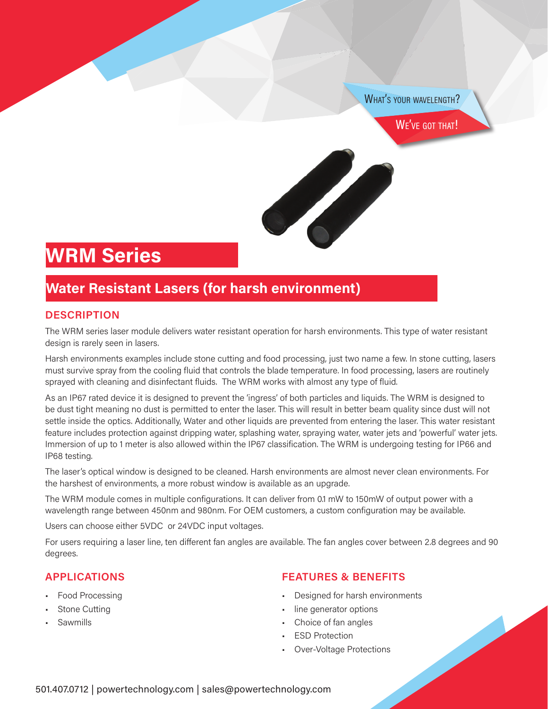WHAT'S YOUR WAVELENGTH?

WE'VE GOT THAT!

# **WRM Series**

## **Water Resistant Lasers (for harsh environment)**

#### **DESCRIPTION**

The WRM series laser module delivers water resistant operation for harsh environments. This type of water resistant design is rarely seen in lasers.

Harsh environments examples include stone cutting and food processing, just two name a few. In stone cutting, lasers must survive spray from the cooling fluid that controls the blade temperature. In food processing, lasers are routinely sprayed with cleaning and disinfectant fluids. The WRM works with almost any type of fluid.

As an IP67 rated device it is designed to prevent the 'ingress' of both particles and liquids. The WRM is designed to be dust tight meaning no dust is permitted to enter the laser. This will result in better beam quality since dust will not settle inside the optics. Additionally, Water and other liquids are prevented from entering the laser. This water resistant feature includes protection against dripping water, splashing water, spraying water, water jets and 'powerful' water jets. Immersion of up to 1 meter is also allowed within the IP67 classification. The WRM is undergoing testing for IP66 and IP68 testing.

The laser's optical window is designed to be cleaned. Harsh environments are almost never clean environments. For the harshest of environments, a more robust window is available as an upgrade.

The WRM module comes in multiple configurations. It can deliver from 0.1 mW to 150mW of output power with a wavelength range between 450nm and 980nm. For OEM customers, a custom configuration may be available.

Users can choose either 5VDC or 24VDC input voltages.

For users requiring a laser line, ten different fan angles are available. The fan angles cover between 2.8 degrees and 90 degrees.

#### **APPLICATIONS**

- Food Processing
- Stone Cutting
- Sawmills

#### **FEATURES & BENEFITS**

- Designed for harsh environments
- line generator options
- Choice of fan angles
- **ESD Protection**
- Over-Voltage Protections